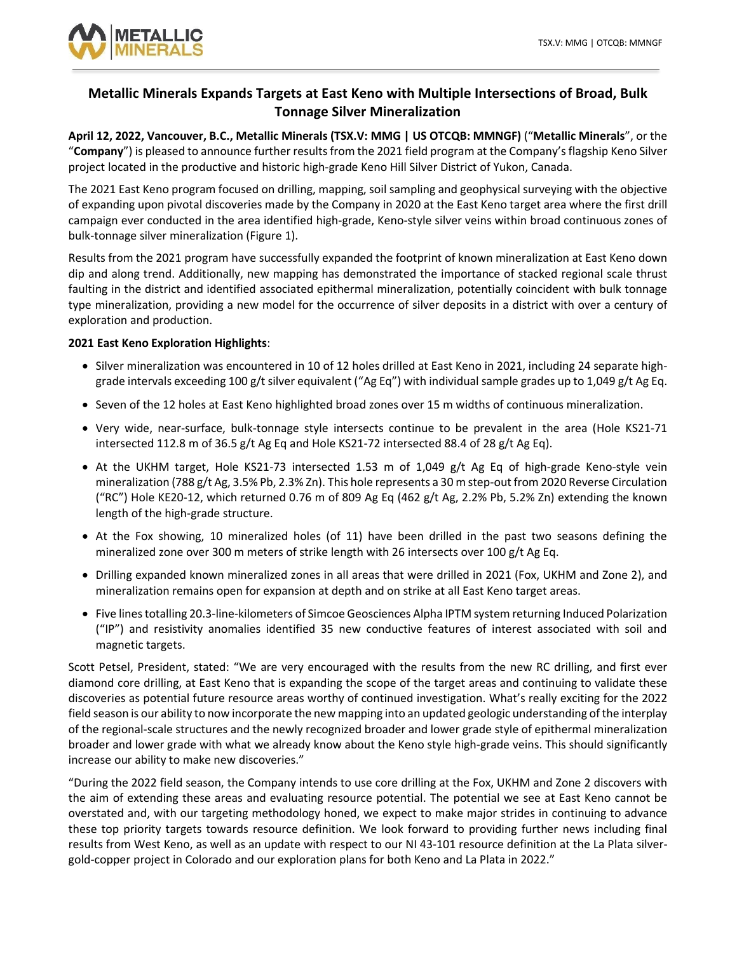

# **Metallic Minerals Expands Targets at East Keno with Multiple Intersections of Broad, Bulk Tonnage Silver Mineralization**

**April 12, 2022, Vancouver, B.C., Metallic Minerals (TSX.V: MMG | US OTCQB: MMNGF)** ( "**Metallic Minerals**", or the "Company") is pleased to announce further results from the 2021 field program at the Company's flagship Keno Silver project located in the productive and historic high-grade Keno Hill Silver District of Yukon, Canada.

The 2021 East Keno program focused on drilling, mapping, soil sampling and geophysical surveying with the objective of expanding upon pivotal discoveries made by the Company in 2020 at the East Keno target area where the first drill campaign ever conducted in the area identified high-grade, Keno-style silver veins within broad continuous zones of bulk-tonnage silver mineralization (Figure 1).

Results from the 2021 program have successfully expanded the footprint of known mineralization at East Keno down dip and along trend. Additionally, new mapping has demonstrated the importance of stacked regional scale thrust faulting in the district and identified associated epithermal mineralization, potentially coincident with bulk tonnage type mineralization, providing a new model for the occurrence of silver deposits in a district with over a century of exploration and production.

## **2021 East Keno Exploration Highlights**:

- Silver mineralization was encountered in 10 of 12 holes drilled at East Keno in 2021, including 24 separate highgrade intervals exceeding 100 g/t silver equivalent ("Ag Eq") with individual sample grades up to 1,049 g/t Ag Eq.
- Seven of the 12 holes at East Keno highlighted broad zones over 15 m widths of continuous mineralization.
- Very wide, near-surface, bulk-tonnage style intersects continue to be prevalent in the area (Hole KS21-71 intersected 112.8 m of 36.5 g/t Ag Eq and Hole KS21-72 intersected 88.4 of 28 g/t Ag Eq).
- At the UKHM target, Hole KS21-73 intersected 1.53 m of 1,049 g/t Ag Eq of high-grade Keno-style vein mineralization (788 g/t Ag, 3.5% Pb, 2.3% Zn). This hole represents a 30 m step-out from 2020 Reverse Circulation ("RC") Hole KE20-12, which returned 0.76 m of 809 Ag Eq (462 g/t Ag, 2.2% Pb, 5.2% Zn) extending the known length of the high-grade structure.
- At the Fox showing, 10 mineralized holes (of 11) have been drilled in the past two seasons defining the mineralized zone over 300 m meters of strike length with 26 intersects over 100 g/t Ag Eq.
- Drilling expanded known mineralized zones in all areas that were drilled in 2021 (Fox, UKHM and Zone 2), and mineralization remains open for expansion at depth and on strike at all East Keno target areas.
- Five lines totalling 20.3-line-kilometers of Simcoe Geosciences Alpha IPTM system returning Induced Polarization ("IP") and resistivity anomalies identified 35 new conductive features of interest associated with soil and magnetic targets.

Scott Petsel, President, stated: "We are very encouraged with the results from the new RC drilling, and first ever diamond core drilling, at East Keno that is expanding the scope of the target areas and continuing to validate these discoveries as potential future resource areas worthy of continued investigation. What's really exciting for the 2022 field season is our ability to now incorporate the new mapping into an updated geologic understanding of the interplay of the regional-scale structures and the newly recognized broader and lower grade style of epithermal mineralization broader and lower grade with what we already know about the Keno style high-grade veins. This should significantly increase our ability to make new discoveries."

"During the 2022 field season, the Company intends to use core drilling at the Fox, UKHM and Zone 2 discovers with the aim of extending these areas and evaluating resource potential. The potential we see at East Keno cannot be overstated and, with our targeting methodology honed, we expect to make major strides in continuing to advance these top priority targets towards resource definition. We look forward to providing further news including final results from West Keno, as well as an update with respect to our NI 43-101 resource definition at the La Plata silvergold-copper project in Colorado and our exploration plans for both Keno and La Plata in 2022."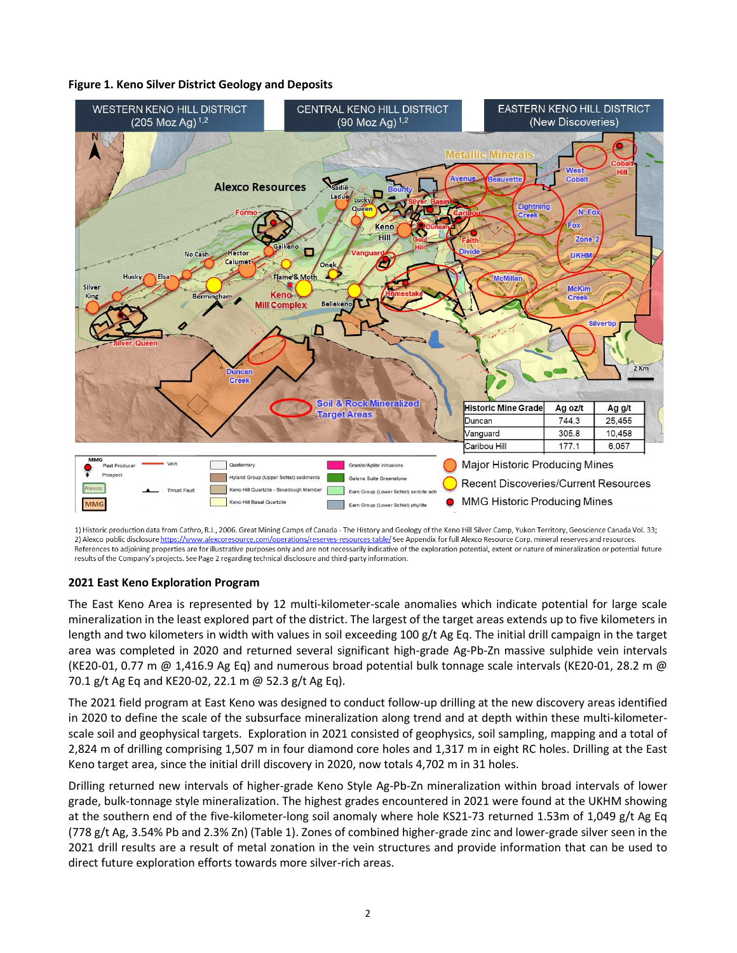## **Figure 1. Keno Silver District Geology and Deposits**



1) Historic production data from Cathro, R.J., 2006. Great Mining Camps of Canada - The History and Geology of the Keno Hill Silver Camp, Yukon Territory, Geoscience Canada Vol. 33; 2) Alexco public disclosure https://www.alexcoresource.com/operations/reserves-resources-table/ See Appendix for full Alexco Resource Corp. mineral reserves and resources. References to adjoining properties are for illustrative purposes only and are not necessarily indicative of the exploration potential, extent or nature of mineralization or potential future results of the Company's projects. See Page 2 regarding technical disclosure and third-party information.

## **2021 East Keno Exploration Program**

The East Keno Area is represented by 12 multi-kilometer-scale anomalies which indicate potential for large scale mineralization in the least explored part of the district. The largest of the target areas extends up to five kilometers in length and two kilometers in width with values in soil exceeding 100 g/t Ag Eq. The initial drill campaign in the target area was completed in 2020 and returned several significant high-grade Ag-Pb-Zn massive sulphide vein intervals (KE20-01, 0.77 m @ 1,416.9 Ag Eq) and numerous broad potential bulk tonnage scale intervals (KE20-01, 28.2 m @ 70.1 g/t Ag Eq and KE20-02, 22.1 m @ 52.3 g/t Ag Eq).

The 2021 field program at East Keno was designed to conduct follow-up drilling at the new discovery areas identified in 2020 to define the scale of the subsurface mineralization along trend and at depth within these multi-kilometerscale soil and geophysical targets. Exploration in 2021 consisted of geophysics, soil sampling, mapping and a total of 2,824 m of drilling comprising 1,507 m in four diamond core holes and 1,317 m in eight RC holes. Drilling at the East Keno target area, since the initial drill discovery in 2020, now totals 4,702 m in 31 holes.

Drilling returned new intervals of higher-grade Keno Style Ag-Pb-Zn mineralization within broad intervals of lower grade, bulk-tonnage style mineralization. The highest grades encountered in 2021 were found at the UKHM showing at the southern end of the five-kilometer-long soil anomaly where hole KS21-73 returned 1.53m of 1,049 g/t Ag Eq (778 g/t Ag, 3.54% Pb and 2.3% Zn) (Table 1). Zones of combined higher-grade zinc and lower-grade silver seen in the 2021 drill results are a result of metal zonation in the vein structures and provide information that can be used to direct future exploration efforts towards more silver-rich areas.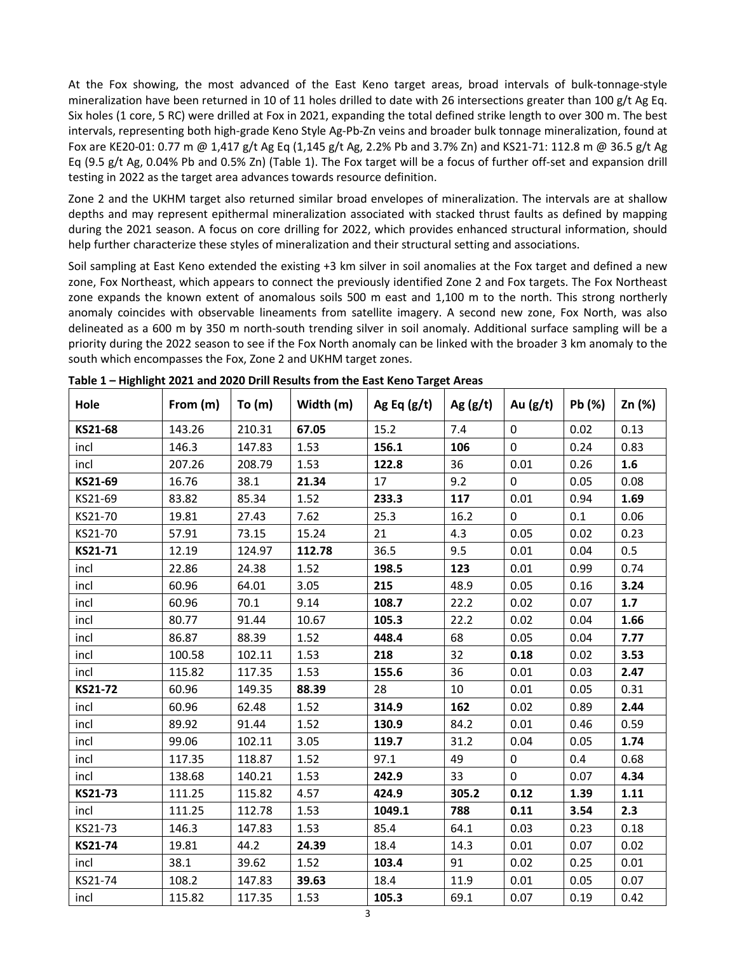At the Fox showing, the most advanced of the East Keno target areas, broad intervals of bulk-tonnage-style mineralization have been returned in 10 of 11 holes drilled to date with 26 intersections greater than 100 g/t Ag Eq. Six holes (1 core, 5 RC) were drilled at Fox in 2021, expanding the total defined strike length to over 300 m. The best intervals, representing both high-grade Keno Style Ag-Pb-Zn veins and broader bulk tonnage mineralization, found at Fox are KE20-01: 0.77 m @ 1,417 g/t Ag Eq (1,145 g/t Ag, 2.2% Pb and 3.7% Zn) and KS21-71: 112.8 m @ 36.5 g/t Ag Eq (9.5 g/t Ag, 0.04% Pb and 0.5% Zn) (Table 1). The Fox target will be a focus of further off-set and expansion drill testing in 2022 as the target area advances towards resource definition.

Zone 2 and the UKHM target also returned similar broad envelopes of mineralization. The intervals are at shallow depths and may represent epithermal mineralization associated with stacked thrust faults as defined by mapping during the 2021 season. A focus on core drilling for 2022, which provides enhanced structural information, should help further characterize these styles of mineralization and their structural setting and associations.

Soil sampling at East Keno extended the existing +3 km silver in soil anomalies at the Fox target and defined a new zone, Fox Northeast, which appears to connect the previously identified Zone 2 and Fox targets. The Fox Northeast zone expands the known extent of anomalous soils 500 m east and 1,100 m to the north. This strong northerly anomaly coincides with observable lineaments from satellite imagery. A second new zone, Fox North, was also delineated as a 600 m by 350 m north-south trending silver in soil anomaly. Additional surface sampling will be a priority during the 2022 season to see if the Fox North anomaly can be linked with the broader 3 km anomaly to the south which encompasses the Fox, Zone 2 and UKHM target zones.

| Hole    | From (m) | To(m)  | Width (m) | Ag Eq $(g/t)$ | Ag $(g/t)$ | Au $(g/t)$ | Pb (%) | Zn (%) |
|---------|----------|--------|-----------|---------------|------------|------------|--------|--------|
| KS21-68 | 143.26   | 210.31 | 67.05     | 15.2          | 7.4        | 0          | 0.02   | 0.13   |
| incl    | 146.3    | 147.83 | 1.53      | 156.1         | 106        | 0          | 0.24   | 0.83   |
| incl    | 207.26   | 208.79 | 1.53      | 122.8         | 36         | 0.01       | 0.26   | 1.6    |
| KS21-69 | 16.76    | 38.1   | 21.34     | 17            | 9.2        | 0          | 0.05   | 0.08   |
| KS21-69 | 83.82    | 85.34  | 1.52      | 233.3         | 117        | 0.01       | 0.94   | 1.69   |
| KS21-70 | 19.81    | 27.43  | 7.62      | 25.3          | 16.2       | 0          | 0.1    | 0.06   |
| KS21-70 | 57.91    | 73.15  | 15.24     | 21            | 4.3        | 0.05       | 0.02   | 0.23   |
| KS21-71 | 12.19    | 124.97 | 112.78    | 36.5          | 9.5        | 0.01       | 0.04   | 0.5    |
| incl    | 22.86    | 24.38  | 1.52      | 198.5         | 123        | 0.01       | 0.99   | 0.74   |
| incl    | 60.96    | 64.01  | 3.05      | 215           | 48.9       | 0.05       | 0.16   | 3.24   |
| incl    | 60.96    | 70.1   | 9.14      | 108.7         | 22.2       | 0.02       | 0.07   | 1.7    |
| incl    | 80.77    | 91.44  | 10.67     | 105.3         | 22.2       | 0.02       | 0.04   | 1.66   |
| incl    | 86.87    | 88.39  | 1.52      | 448.4         | 68         | 0.05       | 0.04   | 7.77   |
| incl    | 100.58   | 102.11 | 1.53      | 218           | 32         | 0.18       | 0.02   | 3.53   |
| incl    | 115.82   | 117.35 | 1.53      | 155.6         | 36         | 0.01       | 0.03   | 2.47   |
| KS21-72 | 60.96    | 149.35 | 88.39     | 28            | 10         | 0.01       | 0.05   | 0.31   |
| incl    | 60.96    | 62.48  | 1.52      | 314.9         | 162        | 0.02       | 0.89   | 2.44   |
| incl    | 89.92    | 91.44  | 1.52      | 130.9         | 84.2       | 0.01       | 0.46   | 0.59   |
| incl    | 99.06    | 102.11 | 3.05      | 119.7         | 31.2       | 0.04       | 0.05   | 1.74   |
| incl    | 117.35   | 118.87 | 1.52      | 97.1          | 49         | $\pmb{0}$  | 0.4    | 0.68   |
| incl    | 138.68   | 140.21 | 1.53      | 242.9         | 33         | 0          | 0.07   | 4.34   |
| KS21-73 | 111.25   | 115.82 | 4.57      | 424.9         | 305.2      | 0.12       | 1.39   | 1.11   |
| incl    | 111.25   | 112.78 | 1.53      | 1049.1        | 788        | 0.11       | 3.54   | 2.3    |
| KS21-73 | 146.3    | 147.83 | 1.53      | 85.4          | 64.1       | 0.03       | 0.23   | 0.18   |
| KS21-74 | 19.81    | 44.2   | 24.39     | 18.4          | 14.3       | 0.01       | 0.07   | 0.02   |
| incl    | 38.1     | 39.62  | 1.52      | 103.4         | 91         | 0.02       | 0.25   | 0.01   |
| KS21-74 | 108.2    | 147.83 | 39.63     | 18.4          | 11.9       | 0.01       | 0.05   | 0.07   |
| incl    | 115.82   | 117.35 | 1.53      | 105.3         | 69.1       | 0.07       | 0.19   | 0.42   |

**Table 1 – Highlight 2021 and 2020 Drill Results from the East Keno Target Areas**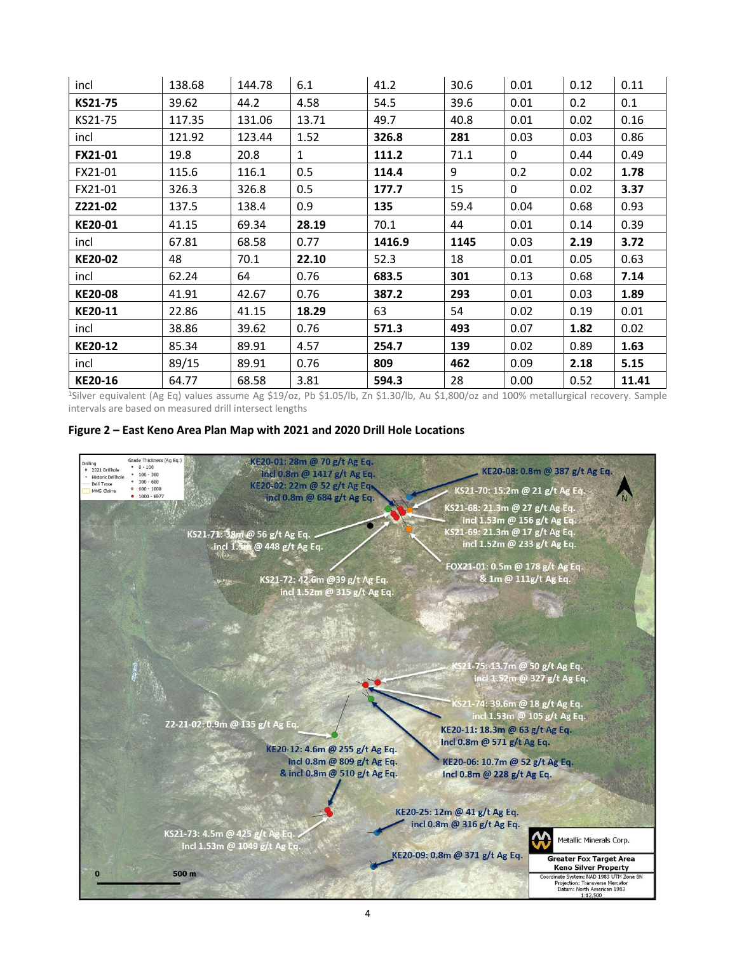| incl           | 138.68 | 144.78 | 6.1          | 41.2   | 30.6 | 0.01         | 0.12 | 0.11 |
|----------------|--------|--------|--------------|--------|------|--------------|------|------|
| KS21-75        | 39.62  | 44.2   | 4.58         | 54.5   | 39.6 | 0.01         | 0.2  | 0.1  |
| KS21-75        | 117.35 | 131.06 | 13.71        | 49.7   | 40.8 | 0.01         | 0.02 | 0.16 |
| incl           | 121.92 | 123.44 | 1.52         | 326.8  | 281  | 0.03         | 0.03 | 0.86 |
| <b>FX21-01</b> | 19.8   | 20.8   | $\mathbf{1}$ | 111.2  | 71.1 | 0            | 0.44 | 0.49 |
| FX21-01        | 115.6  | 116.1  | 0.5          | 114.4  | 9    | 0.2          | 0.02 | 1.78 |
| FX21-01        | 326.3  | 326.8  | 0.5          | 177.7  | 15   | $\mathbf{0}$ | 0.02 | 3.37 |
| Z221-02        | 137.5  | 138.4  | 0.9          | 135    | 59.4 | 0.04         | 0.68 | 0.93 |
| KE20-01        | 41.15  | 69.34  | 28.19        | 70.1   | 44   | 0.01         | 0.14 | 0.39 |
|                |        |        |              |        |      |              |      |      |
| incl           | 67.81  | 68.58  | 0.77         | 1416.9 | 1145 | 0.03         | 2.19 | 3.72 |
| KE20-02        | 48     | 70.1   | 22.10        | 52.3   | 18   | 0.01         | 0.05 | 0.63 |
| incl           | 62.24  | 64     | 0.76         | 683.5  | 301  | 0.13         | 0.68 | 7.14 |
| <b>KE20-08</b> | 41.91  | 42.67  | 0.76         | 387.2  | 293  | 0.01         | 0.03 | 1.89 |
| KE20-11        | 22.86  | 41.15  | 18.29        | 63     | 54   | 0.02         | 0.19 | 0.01 |
| incl           | 38.86  | 39.62  | 0.76         | 571.3  | 493  | 0.07         | 1.82 | 0.02 |
| KE20-12        | 85.34  | 89.91  | 4.57         | 254.7  | 139  | 0.02         | 0.89 | 1.63 |
| incl           | 89/15  | 89.91  | 0.76         | 809    | 462  | 0.09         | 2.18 | 5.15 |

<sup>1</sup>Silver equivalent (Ag Eq) values assume Ag \$19/oz, Pb \$1.05/lb, Zn \$1.30/lb, Au \$1,800/oz and 100% metallurgical recovery. Sample intervals are based on measured drill intersect lengths

### **Figure 2 – East Keno Area Plan Map with 2021 and 2020 Drill Hole Locations**

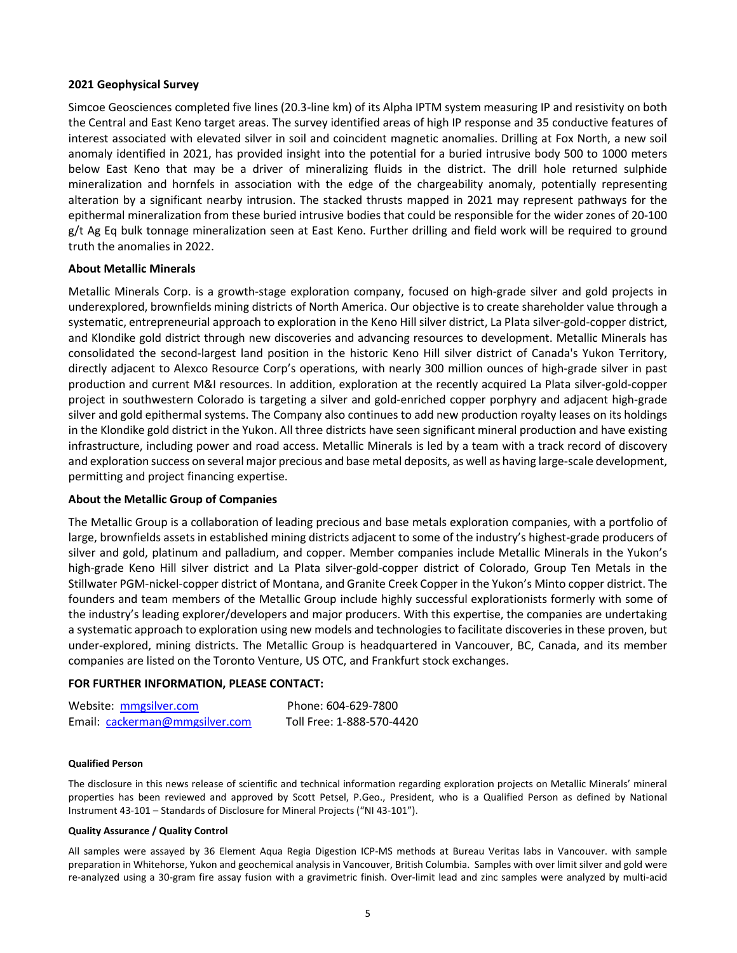### **2021 Geophysical Survey**

Simcoe Geosciences completed five lines (20.3-line km) of its Alpha IPTM system measuring IP and resistivity on both the Central and East Keno target areas. The survey identified areas of high IP response and 35 conductive features of interest associated with elevated silver in soil and coincident magnetic anomalies. Drilling at Fox North, a new soil anomaly identified in 2021, has provided insight into the potential for a buried intrusive body 500 to 1000 meters below East Keno that may be a driver of mineralizing fluids in the district. The drill hole returned sulphide mineralization and hornfels in association with the edge of the chargeability anomaly, potentially representing alteration by a significant nearby intrusion. The stacked thrusts mapped in 2021 may represent pathways for the epithermal mineralization from these buried intrusive bodies that could be responsible for the wider zones of 20-100 g/t Ag Eq bulk tonnage mineralization seen at East Keno. Further drilling and field work will be required to ground truth the anomalies in 2022.

#### **About Metallic Minerals**

Metallic Minerals Corp. is a growth-stage exploration company, focused on high-grade silver and gold projects in underexplored, brownfields mining districts of North America. Our objective is to create shareholder value through a systematic, entrepreneurial approach to exploration in the Keno Hill silver district, La Plata silver-gold-copper district, and Klondike gold district through new discoveries and advancing resources to development. Metallic Minerals has consolidated the second-largest land position in the historic Keno Hill silver district of Canada's Yukon Territory, directly adjacent to Alexco Resource Corp's operations, with nearly 300 million ounces of high-grade silver in past production and current M&I resources. In addition, exploration at the recently acquired La Plata silver-gold-copper project in southwestern Colorado is targeting a silver and gold-enriched copper porphyry and adjacent high-grade silver and gold epithermal systems. The Company also continues to add new production royalty leases on its holdings in the Klondike gold district in the Yukon. All three districts have seen significant mineral production and have existing infrastructure, including power and road access. Metallic Minerals is led by a team with a track record of discovery and exploration success on several major precious and base metal deposits, as well as having large-scale development, permitting and project financing expertise.

#### **About the Metallic Group of Companies**

The Metallic Group is a collaboration of leading precious and base metals exploration companies, with a portfolio of large, brownfields assets in established mining districts adjacent to some of the industry's highest-grade producers of silver and gold, platinum and palladium, and copper. Member companies include Metallic Minerals in the Yukon's high-grade Keno Hill silver district and La Plata silver-gold-copper district of Colorado, Group Ten Metals in the Stillwater PGM-nickel-copper district of Montana, and Granite Creek Copper in the Yukon's Minto copper district. The founders and team members of the Metallic Group include highly successful explorationists formerly with some of the industry's leading explorer/developers and major producers. With this expertise, the companies are undertaking a systematic approach to exploration using new models and technologies to facilitate discoveries in these proven, but under-explored, mining districts. The Metallic Group is headquartered in Vancouver, BC, Canada, and its member companies are listed on the Toronto Venture, US OTC, and Frankfurt stock exchanges.

### **FOR FURTHER INFORMATION, PLEASE CONTACT:**

| Website: mmgsilver.com         | Phone: 604-629-7800       |
|--------------------------------|---------------------------|
| Email: cackerman@mmgsilver.com | Toll Free: 1-888-570-4420 |

#### **Qualified Person**

The disclosure in this news release of scientific and technical information regarding exploration projects on Metallic Minerals' mineral properties has been reviewed and approved by Scott Petsel, P.Geo., President, who is a Qualified Person as defined by National Instrument 43-101 – Standards of Disclosure for Mineral Projects ("NI 43-101").

#### **Quality Assurance / Quality Control**

All samples were assayed by 36 Element Aqua Regia Digestion ICP-MS methods at Bureau Veritas labs in Vancouver. with sample preparation in Whitehorse, Yukon and geochemical analysis in Vancouver, British Columbia. Samples with over limit silver and gold were re-analyzed using a 30-gram fire assay fusion with a gravimetric finish. Over-limit lead and zinc samples were analyzed by multi-acid